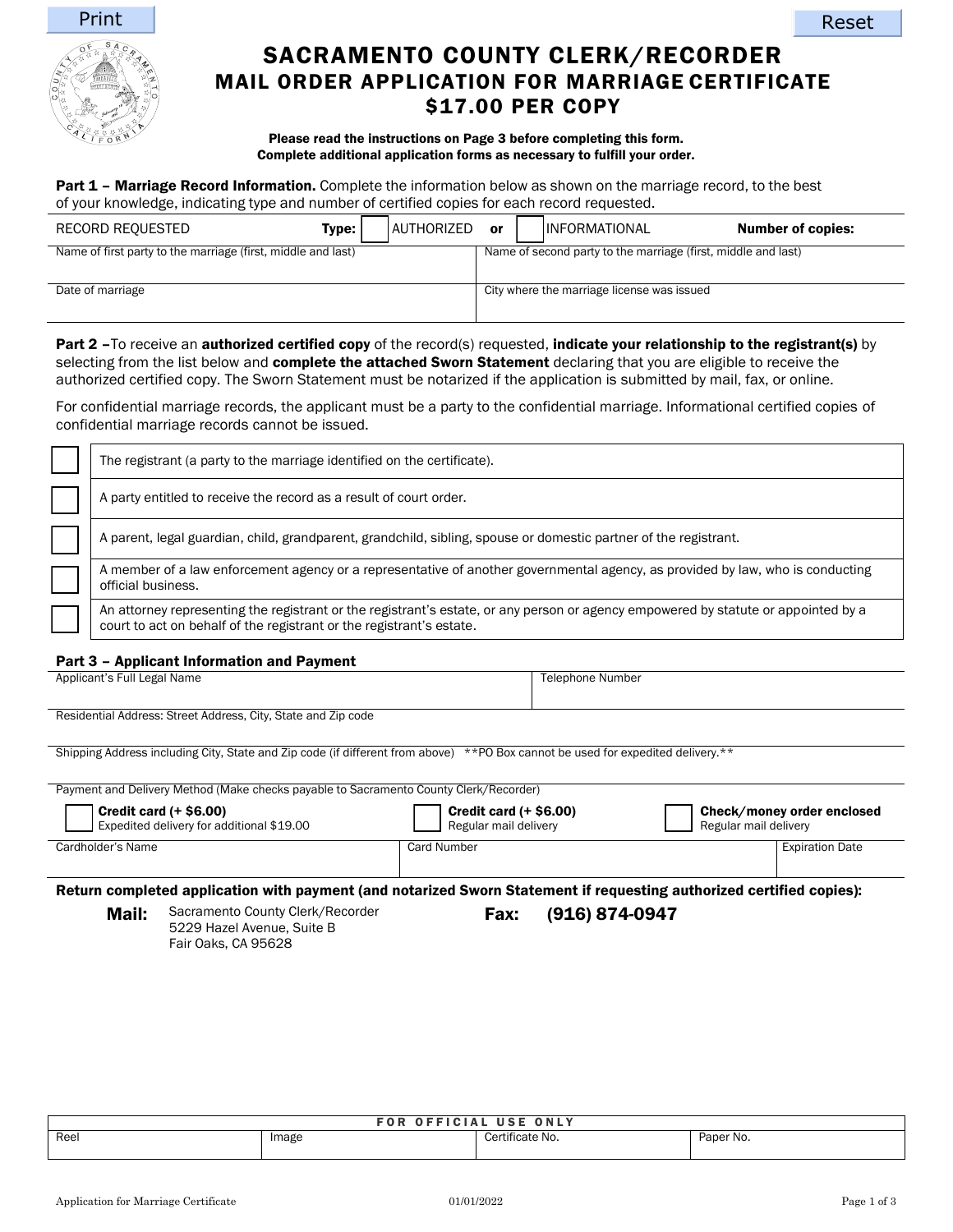



# SACRAMENTO COUNTY CLERK/RECORDER MAIL ORDER APPLICATION FOR MARRIAGE CERTIFICATE \$17.00 PER COPY

### Please read the instructions on Page 3 before completing this form. Complete additional application forms as necessary to fulfill your order.

Part 1 - Marriage Record Information. Complete the information below as shown on the marriage record, to the best of your knowledge, indicating type and number of certified copies for each record requested.

| RECORD REQUESTED                                             | Type: | AUTHORIZED | or | <b>INFORMATIONAL</b>                                          | <b>Number of copies:</b> |
|--------------------------------------------------------------|-------|------------|----|---------------------------------------------------------------|--------------------------|
| Name of first party to the marriage (first, middle and last) |       |            |    | Name of second party to the marriage (first, middle and last) |                          |
| Date of marriage                                             |       |            |    | City where the marriage license was issued                    |                          |

Part 2 –To receive an authorized certified copy of the record(s) requested, indicate your relationship to the registrant(s) by selecting from the list below and complete the attached Sworn Statement declaring that you are eligible to receive the authorized certified copy. The Sworn Statement must be notarized if the application is submitted by mail, fax, or online.

For confidential marriage records, the applicant must be a party to the confidential marriage. Informational certified copies of confidential marriage records cannot be issued.

| The registrant (a party to the marriage identified on the certificate).                                                                                                                                    |
|------------------------------------------------------------------------------------------------------------------------------------------------------------------------------------------------------------|
| A party entitled to receive the record as a result of court order.                                                                                                                                         |
| A parent, legal guardian, child, grandparent, grandchild, sibling, spouse or domestic partner of the registrant.                                                                                           |
| A member of a law enforcement agency or a representative of another governmental agency, as provided by law, who is conducting<br>official business.                                                       |
| An attorney representing the registrant or the registrant's estate, or any person or agency empowered by statute or appointed by a<br>court to act on behalf of the registrant or the registrant's estate. |

## Part 3 – Applicant Information and Payment

Applicant's Full Legal Name Telephone Number

Residential Address: Street Address, City, State and Zip code

Shipping Address including City, State and Zip code (if different from above) \*\*PO Box cannot be used for expedited delivery.\*\*

| Payment and Delivery Method (Make checks payable to Sacramento County Clerk/Recorder) |                                                  |                                                            |  |  |
|---------------------------------------------------------------------------------------|--------------------------------------------------|------------------------------------------------------------|--|--|
| $ $ Credit card $(+$ \$6.00)<br>Expedited delivery for additional \$19.00             | Credit card $(+ $6.00)$<br>Regular mail delivery | <b>Check/money order enclosed</b><br>Regular mail delivery |  |  |
| Cardholder's Name                                                                     | Card Number                                      | <b>Expiration Date</b>                                     |  |  |

Return completed application with payment (and notarized Sworn Statement if requesting authorized certified copies):

Mail: Sacramento County Clerk/Recorder 5229 Hazel Avenue, Suite B Fair Oaks, CA 95628

# Fax: (916) 874-0947

| <b>FOR OFFICIAL USE ONLY</b> |       |                 |           |  |
|------------------------------|-------|-----------------|-----------|--|
| Reel                         | Image | Certificate No. | Paper No. |  |
|                              |       |                 |           |  |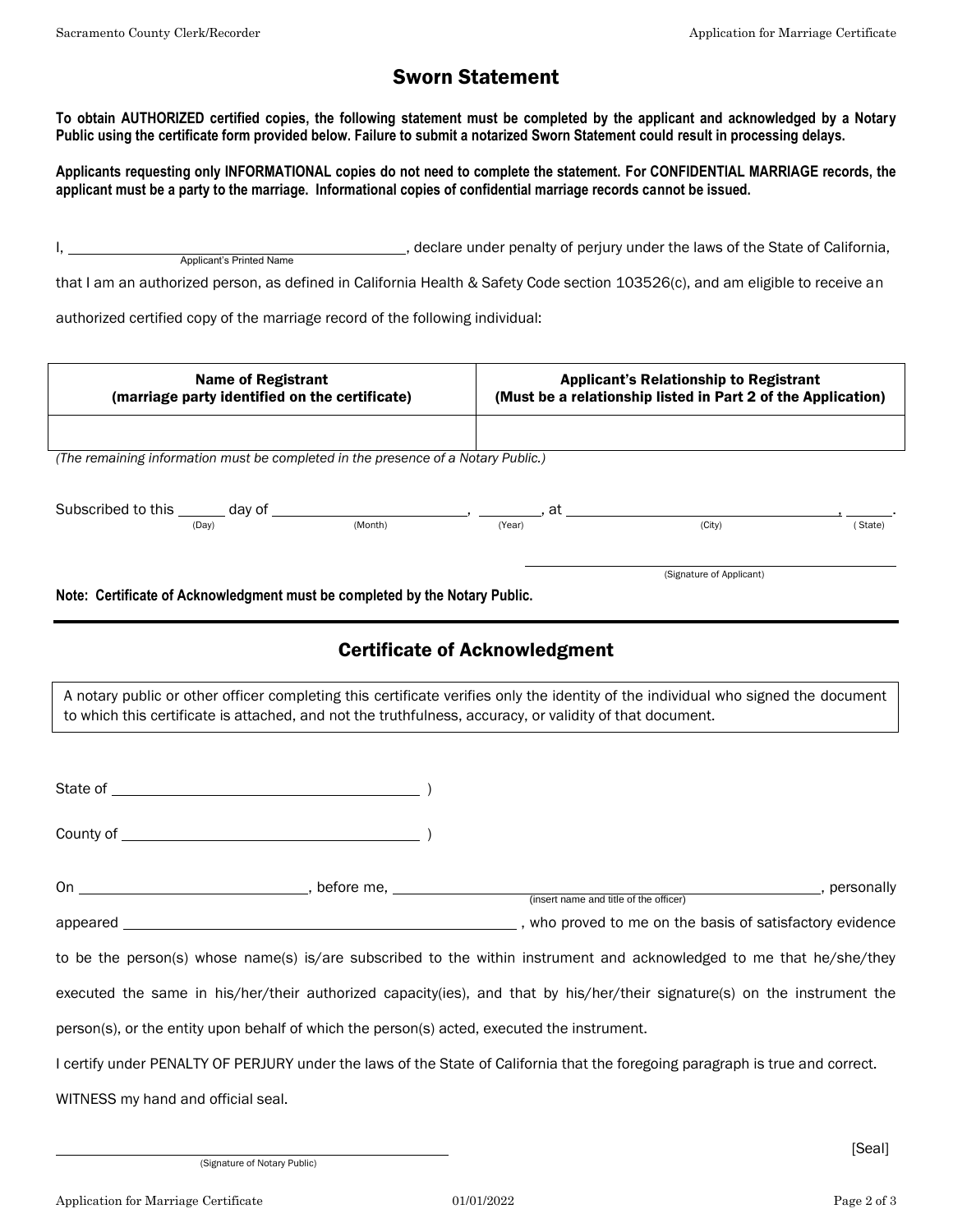# Sworn Statement

**To obtain AUTHORIZED certified copies, the following statement must be completed by the applicant and acknowledged by a Notary Public using the certificate form provided below. Failure to submit a notarized Sworn Statement could result in processing delays.**

**Applicants requesting only INFORMATIONAL copies do not need to complete the statement. For CONFIDENTIAL MARRIAGE records, the applicant must be a party to the marriage. Informational copies of confidential marriage records cannot be issued.**

I, , declare under penalty of perjury under the laws of the State of California, Applicant's Printed Name

that I am an authorized person, as defined in California Health & Safety Code section 103526(c), and am eligible to receive an

authorized certified copy of the marriage record of the following individual:

| <b>Name of Registrant</b><br>(marriage party identified on the certificate)         |         | <b>Applicant's Relationship to Registrant</b><br>(Must be a relationship listed in Part 2 of the Application) |                          |         |
|-------------------------------------------------------------------------------------|---------|---------------------------------------------------------------------------------------------------------------|--------------------------|---------|
|                                                                                     |         |                                                                                                               |                          |         |
| (The remaining information must be completed in the presence of a Notary Public.)   |         |                                                                                                               |                          |         |
|                                                                                     |         |                                                                                                               |                          |         |
| Subscribed to this ______ day of _______________________________, at _____<br>(Day) | (Month) | (Year)                                                                                                        | (City)                   | (State) |
|                                                                                     |         |                                                                                                               |                          |         |
|                                                                                     |         |                                                                                                               | (Signature of Applicant) |         |
| Natau Cartificate of Acknowledgment must be completed by the Natory Dublic          |         |                                                                                                               |                          |         |

**Note: Certificate of Acknowledgment must be completed by the Notary Public.**

# Certificate of Acknowledgment

A notary public or other officer completing this certificate verifies only the identity of the individual who signed the document to which this certificate is attached, and not the truthfulness, accuracy, or validity of that document.

County of  $\qquad \qquad$  )

| 0n       | before me. |                                                        | personally |  |
|----------|------------|--------------------------------------------------------|------------|--|
|          |            | (insert name and title of the officer)                 |            |  |
| appeared |            | who proved to me on the basis of satisfactory evidence |            |  |

to be the person(s) whose name(s) is/are subscribed to the within instrument and acknowledged to me that he/she/they

executed the same in his/her/their authorized capacity(ies), and that by his/her/their signature(s) on the instrument the

person(s), or the entity upon behalf of which the person(s) acted, executed the instrument.

I certify under PENALTY OF PERJURY under the laws of the State of California that the foregoing paragraph is true and correct.

WITNESS my hand and official seal.

(Signature of Notary Public)